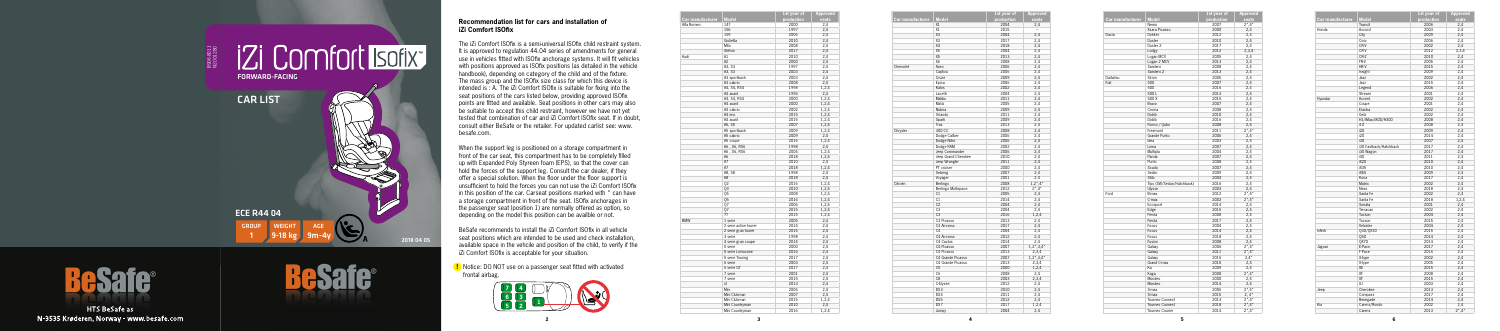**5**

|                  |                       | 1st year of | Approved |
|------------------|-----------------------|-------------|----------|
| Car manufacturer | <b>Model</b>          | production  | seats    |
| Alfa Romeo       | 147                   | 2000        | 2,4      |
|                  | 156                   | 1997        | 2,4      |
|                  | 159                   | 2006        | 2,4      |
|                  | Giulietta             | 2010        | 2,4      |
|                  | Mito                  | 2008        | 2,4      |
|                  | Stelvio               | 2017        | 2,4      |
| Audi             | A1                    | 2010        | 2,4      |
|                  | A <sub>2</sub>        | 2000        | 2,4      |
|                  | A3, S3                | 1997        | 2,4      |
|                  | A3, S3                | 2003        | 2,4      |
|                  | A3 sportback          | 2003        | 2,4      |
|                  | A3 cabrio             | 2008        | 2,4      |
|                  | A4, S4, RS4           | 1998        | 1,2,4    |
|                  | A4 avant              | 1996        | 2,4      |
|                  | A4, S4, RS4           | 2000        | 1,2,4    |
|                  | A4 avant              | 2000        | 1,2,4    |
|                  | A4 cabrio             | 2002        | 1,2,4    |
|                  | A4 imo                | 2015        |          |
|                  | A4 avant              | 2015        | 1,2,4    |
|                  |                       | 2007        | 1,2,4    |
|                  | A5, S5                |             | 1,2,4    |
|                  | A5 sportback          | 2009        | 1,2,4    |
|                  | A5 cabrio             | 2009        | 2,4      |
|                  | A5 coupe              | 2016        | 1,2,4    |
|                  | A6, S6, RS6           | 1998        | 2,4      |
|                  | A6, S6, RS6           | 2004        | 1,2,4    |
|                  | A6                    | 2018        | 1,2,4    |
|                  | A7                    | 2010        | 2,4      |
|                  | A7                    | 2018        | 1,2,4    |
|                  | A8, S8                | 1998        | 2,4      |
|                  | A8                    | 2018        | 2,4      |
|                  | 02                    | 2016        | 1,2,4    |
|                  | Q3                    | 2010        | 1,2,4    |
|                  | Q5                    | 2008        | 1,2,4    |
|                  | 05                    | 2016        | 1,2,4    |
|                  | 07                    | 2006        | 1,2,4    |
|                  | 07                    | 2015        | 1,2,4    |
|                  | TT                    | 2015        | 1,2,4    |
| <b>BMW</b>       | 1 serie               | 2005        | 2,4      |
|                  | 2 serie active tourer | 2014        | 2,4      |
|                  | 2 serie gran tourer   | 2015        | 2,4      |
|                  | 3 serie               | 1998        | 2,4      |
|                  | 4 serie gran coupe    | 2014        | 2,4      |
|                  | 5 serie               | 2000        | 2,4      |
|                  | 5 serie Limousine     | 2016        | 2,4      |
|                  | 5 serie Touring       | 2017        | 2,4      |
|                  | 6 serie               | 2003        | 2,4      |
|                  | 6 serie GT            | 2017        | 2,4      |
|                  | 7 serie               | 2001        | 2,4      |
|                  | 7 serie               | 2015        | 2,4      |
|                  | i3                    |             |          |
|                  |                       | 2013        | 2,4      |
|                  | Mini                  | 2006        | 2,4      |
|                  | Mini Clubman          | 2007        | 2,4      |
|                  | Mini Clubman          | 2015        | 1,2,4    |
|                  | Mini Countryman       | 2010        | 2,4      |
|                  | Mini Countryman       | 2016        | 1,2,4    |

| <b>Car manufacturer</b> | <b>Model</b>        | 1st year of<br>production | <b>Approved</b><br>seats  |
|-------------------------|---------------------|---------------------------|---------------------------|
|                         | X1                  | 2004                      | 2,4                       |
|                         | X1                  | 2015                      | $\overline{\phantom{0}}$  |
|                         | X <sub>3</sub>      | 2004                      | 2.4                       |
|                         | X3                  | 2017                      | 2.4                       |
|                         | X4                  | 2018                      | 2,4                       |
|                         | X5                  | 2004                      | 2,4                       |
|                         | X5                  | 2013                      | 2,4                       |
|                         | X6                  | 2008                      | 2,4                       |
| Chrevolet               | Aveo                | 2006                      | 2,4                       |
|                         | Captiva             | 2006                      | 2,4                       |
|                         | Cruze               | 2009                      |                           |
|                         |                     |                           | 2,4                       |
|                         | Epica               | 2006                      | 2,4                       |
|                         | Kalos               | 2002                      | 2.4                       |
|                         | Lacetti             | 2004                      | 2.4                       |
|                         | Malibu              | 2011                      | 2,4                       |
|                         | Matiz               | 2005                      | 2,4                       |
|                         | Nubira              | 2009                      | 2,4                       |
|                         | Orlando             | 2011                      | 2,4                       |
|                         | Spark               | 2009                      | 2,4                       |
|                         | Trax                | 2013                      | 2,4                       |
| Chrysler                | 300 CC              | 2008                      | 2,4                       |
|                         | Dodge Caliber       | 2006                      | 2,4                       |
|                         | Dodge Nitro         | 2006                      | 2,4                       |
|                         | Dodge RAM           | 2002                      | 2,4                       |
|                         | Jeep Commander      | 2006                      | 2,4                       |
|                         | Jeep Grand Cherokee | 2010                      | 2,4                       |
|                         | Jeep Wrangler       | 2011                      | 2,4                       |
|                         | PT cruiser          | 2000                      | 2,4                       |
|                         | Sebring             | 2007                      | 2,4                       |
|                         |                     | 2001                      |                           |
|                         | Voyager             |                           | 2,4                       |
| Citroën                 | Berlingo            | 2008                      | $1,2^*$ , 4*              |
|                         | Berlingo Multispace | 2012                      | $2^*$ , 4 <sup>*</sup>    |
|                         | C1                  | 2005                      | 2,4                       |
|                         | C1                  | 2014                      | 2,4                       |
|                         | C <sub>2</sub>      | 2004                      | 2,4                       |
|                         | C <sub>3</sub>      | 2004                      | 2,4                       |
|                         | C <sub>3</sub>      | 2016                      | 1,2,4                     |
|                         | C3 Picasso          | 2013                      | 2,4                       |
|                         | C3 Aircross         | 2017                      | 2,4                       |
|                         | C <sub>4</sub>      | 2004                      | 2,4                       |
|                         | C4 Aircross         | 2012                      | 2,4                       |
|                         | C4 Cactus           | 2014                      | 2,4                       |
|                         | C4 Picasso          | 2007                      | $1,2^*,3,4^*$             |
|                         | C4 Picasso          | 2013                      | 2,3,4                     |
|                         | C4 Grande Picasso   | 2007                      | $1,2^{\star},3,4^{\star}$ |
|                         | C4 Grande Picasso   | 2013                      | 2,3,4                     |
|                         | C <sub>5</sub>      | 2000                      | 1,2,4                     |
|                         | C <sub>6</sub>      | 2008                      | 2,4                       |
|                         | C8                  | 2003                      | 2,3,4                     |
|                         | C-Elysée            | 2012                      |                           |
|                         |                     |                           | 2,4                       |
|                         | DS3                 | 2010                      | 2,4                       |
|                         | DS4                 | 2011                      | 2,4                       |
|                         | DS5                 | 2012                      | 2,4                       |
|                         | DS7                 | 2017                      | 1,2,4                     |
|                         | Jumpy               | 2004                      | 2.4                       |

| Car manufacturer | <b>Model</b>              | 1st year of<br>production | <b>Approved</b><br>seats |
|------------------|---------------------------|---------------------------|--------------------------|
|                  | Nemo                      | 2007                      | $2^*$ , 4*               |
|                  | Xsara Picasso             | 2000                      | 2.4                      |
| Dacia            | Dokker                    | 2012                      | 2,4                      |
|                  | Duster                    | 2010                      | 2,4                      |
|                  | Duster 2                  | 2017                      | 2.4                      |
|                  | Lodgy                     | 2012                      | 2,3,4                    |
|                  | Logan MCV                 | 2005                      | 2,4                      |
|                  | Logan 2 MCV               | 2013                      | 2,4                      |
|                  | Sandero                   | 2008                      | 2,4                      |
|                  | Sandero <sub>2</sub>      | 2013                      | 2,4                      |
| Daihatsu         | Sirion                    | 2005                      | 2,4                      |
| Fiat             | 500                       | 2007                      | 2.4                      |
|                  | 500                       | 2016                      | 2,4                      |
|                  | 500L                      | 2013                      | 2,4                      |
|                  | 500 X                     | 2015                      | 2,4                      |
|                  | Bravo                     | 2007                      | 2,4                      |
|                  | Croma                     | 2008                      | 2,4                      |
|                  | Doblò                     | 2010                      | 2,4                      |
|                  | Doblò                     | 2016                      | 2,4                      |
|                  | Fiorno / Qubo             | 2008                      | 2,4                      |
|                  | Freemont                  | 2011                      | $2^*$ ,4*                |
|                  | Grande Punto              | 2006                      | 2,4                      |
|                  | Idea                      | 2003                      | 2.4                      |
|                  | Linea                     | 2007                      | 2,4                      |
|                  | Multipla                  | 2004                      | 2,4                      |
|                  | Panda                     | 2007                      | 2,4                      |
|                  | Punto                     | 2008                      | 2,4                      |
|                  | Scudo                     | 2007                      | 2,4                      |
|                  | Sedici                    | 2009                      | 2,4                      |
|                  | Stilo                     | 2004                      | 2,4                      |
|                  | Tipo (SW/Sedan/Hatchback) | 2016                      | 2,4                      |
|                  | Ulysse                    | 2003                      | 2,4                      |
| Ford             | B-max                     | 2012                      | $2^*$ , 4*               |
|                  | C-max                     | 2003                      | $2^*$ , 4*               |
|                  | Ecosport                  | 2014                      | 2,4                      |
|                  | Edge                      | 2015                      | 2,4                      |
|                  | Fiesta                    | 2008                      | 2,4                      |
|                  | Fiesta                    | 2017                      | 2.4                      |
|                  | Focus                     | 2004                      |                          |
|                  | Focus                     | 2014                      | 2,4<br>2.4               |
|                  | Focus                     | 2018                      |                          |
|                  |                           | 2008                      | 2,4                      |
|                  | Fusion                    | 2006                      | 2,4                      |
|                  | Galaxy                    | 2011                      | $2^*$ ,4*                |
|                  | Galaxy                    | 2015                      | $2^*$ ,4*<br>$2.4*$      |
|                  | Galaxy                    |                           |                          |
|                  | Grand C-max               | 2010                      | 2,4                      |
|                  | Ka                        | 2009                      | 2,4                      |
|                  | Kuga<br>Mondeo            | 2008                      | $2^*$ , 4*               |
|                  |                           | 2000                      | 2,4                      |
|                  | Mondeo                    | 2014                      | 2,4                      |
|                  | S-max                     | 2006                      | $2^*$ , 4*               |
|                  | S-max                     | 2015                      | $2, 4^*$                 |
|                  | Tourneo Connect           | 2013                      | $2^*$ ,4*                |
|                  | Tourneo Connect           | 2018                      | $2^*$ , 4*               |
|                  | Tourneo Courier           | 2014                      | $2^*$ , 4*               |

## **Recommendation list for cars and installation of iZi Comfort ISOfix**

The iZi Comfort ISOfix is a semi-universal ISOfix child restraint system. It is approved to regulation 44.04 series of amendments for general use in vehicles fitted with ISOfix anchorage systems. It will fit vehicles with positions approved as ISOfix positions (as detailed in the vehicle handbook), depending on category of the child and of the fixture. The mass group and the ISOfix size class for which this device is intended is : A. The iZi Comfort ISOfix is suitable for fixing into the seat positions of the cars listed below, providing approved ISOfix points are fitted and available. Seat positions in other cars may also be suitable to accept this child restraint, however we have not yet tested that combination of car and iZi Comfort ISOfix seat. If in doubt, consult either BeSafe or the retailer. For updated carlist see: www. besafe.com.





**HTS BeSafe as** N-3535 Krøderen, Norway - www.besafe.com



When the support leg is positioned on a storage compartment in front of the car seat, this compartment has to be completely filled up with Expanded Poly Styreen foam (EPS), so that the cover can hold the forces of the support leg. Consult the car dealer, if they offer a special solution. When the floor under the floor support is unsufficient to hold the forces you can not use the iZi Comfort ISOfix in this position of the car. Carseat positions marked with \* can have a storage compartment in front of the seat. ISOfix anchorages in the passenger seat (position 1) are normally offered as option, so depending on the model this position can be availble or not.

BeSafe recommends to install the iZi Comfort ISOfix in all vehicle seat positions which are intended to be used and check installation, available space in the vehcile and position of the child, to verify if the iZi Comfort ISOfix is acceptable for your situation.



**!** Notice: DO NOT use on a passenger seat fitted with activated frontal airbag.

|                  |                        | <b>1st year of</b> | Appro      |
|------------------|------------------------|--------------------|------------|
| Car manufacturer | <b>Model</b>           | production         | seat       |
|                  | Transit                | 2006               | 2,4        |
| Honda            | Accord                 | 2003               | 2,4        |
|                  | City                   | 2009               | 2,4        |
|                  | Civic                  | 2006               | 2,4        |
|                  | CR-V                   | 2002               | 2,4        |
|                  | CR-V                   | 2012               | 2,3,       |
|                  | CR-Z                   | 2010               | 2,4        |
|                  | FR-V                   | 2005               | 2,4        |
|                  | HR-V                   | 2015               | 2,4        |
|                  | Insight                | 2009               | 2,4        |
|                  | Jazz                   | 2002               | 2,4        |
|                  | Jazz                   | 2015               | 2,4        |
|                  | Legend                 | 2006               | 2,4        |
|                  | Stream                 | 2001               | 2,4        |
| Hyundai          | Accent                 | 2002               | 2,4        |
|                  | Coupe                  | 2001               | 2,4        |
|                  | Elantra                | 2002               | 2,4        |
|                  | Getz                   | 2002               | 2,4        |
|                  | H1/iMax/i800/H300      | 2008               | 2,4        |
|                  | i10                    | 2008               | 2,4        |
|                  | i20                    | 2009               | 2,4        |
|                  | i20                    | 2014               | 2,4        |
|                  | i30                    | 2007               | 2,4        |
|                  | i30 Fastback/Hatchback | 2017               | 2,4        |
|                  | i30 Wagon              | 2017               | 2,4        |
|                  | i40                    | 2011               | 2,4        |
|                  | iX20                   | 2010               | 2,4        |
|                  | iX35                   | 2010               | 2,4        |
|                  | iX55                   | 2009               | 2,4        |
|                  | Kona                   | 2017               | 2,4        |
|                  | Matrix                 | 2002               | 2,4        |
|                  | Nexo                   | 2018               | 2,4        |
|                  | Santa Fe               | 2002               | 2,4        |
|                  | Santa Fe               | 2018               | 1,2,       |
|                  | Sonata                 | 2001               | 2,4        |
|                  | Terracan               | 2002               | 2,4        |
|                  | Tucson                 | 2004               | 2,4        |
|                  | Tucson                 | 2015               | 2,4        |
|                  | Veloster               | 2004               | 2,4        |
| Infiniti         | Q30/QX30               | 2015               | 2,4        |
|                  | 050                    | 2014               | 2,4        |
|                  | <b>QX70</b>            | 2014               |            |
| Jaguar           | E-Pace                 | 2017               | 2,4<br>2,4 |
|                  | F-Pace                 |                    |            |
|                  |                        | 2016               | 2,4        |
|                  | S-type                 | 2002               | 2,4        |
|                  | X-type                 | 2005               | 2,4        |
|                  | <b>XE</b>              | 2015               | 2,4        |
|                  | XF                     | 2008               | 2,4        |
|                  | XF                     | 2015               | 2,4        |
|                  | χJ                     | 2003               | 2,4        |
| Jeep             | Cherokee               | 2013               | 2,4        |
|                  | Compass                | 2017               | 2,4        |
|                  | Renegade               | 2014               | 2,4        |
| Kia              | Carens/Rondo           | 2002               | 2,4        |
|                  | Carens                 | 2013               | $2^*$ ,4   |

| <b>Model</b>           | 1st year of<br>production | Approved<br>seats |
|------------------------|---------------------------|-------------------|
| Transit                | 2006                      | 2,4               |
| Accord                 | 2003                      | 2,4               |
| City                   | 2009                      | 2,4               |
| Civic                  | 2006                      | 2,4               |
| CR-V                   | 2002                      | 2,4               |
| CR-V                   | 2012                      | 2,3,4             |
| CR-Z                   | 2010                      | 2,4               |
| FR-V                   | 2005                      | 2,4               |
| HR-V                   | 2015                      | 2,4               |
| Insight                | 2009                      | 2,4               |
| Jazz                   | 2002                      | 2,4               |
| Jazz                   | 2015                      | 2,4               |
| Legend                 | 2006                      | 2,4               |
| Stream                 | 2001                      | 2,4               |
| Accent                 | 2002                      | 2,4               |
| Coupe                  | 2001                      | 2,4               |
| Elantra                | 2002                      | 2,4               |
| Getz                   | 2002                      | 2,4               |
| H1/iMax/i800/H300      | 2008                      | 2,4               |
| i10                    | 2008                      | 2,4               |
| i20                    | 2009                      | 2,4               |
| i20                    | 2014                      | 2,4               |
| i30                    | 2007                      | 2,4               |
| i30 Fastback/Hatchback | 2017                      | 2,4               |
| i30 Wagon              | 2017                      | 2,4               |
| i40                    | 2011                      | 2,4               |
| iX20                   | 2010                      | 2,4               |
| iX35                   | 2010                      | 2,4               |
| iX55                   | 2009                      | 2,4               |
| Kona                   | 2017                      | 2,4               |
| Matrix                 | 2002                      | 2,4               |
| Nexo                   | 2018                      | 2,4               |
| Santa Fe               | 2002                      | 2,4               |
| Santa Fe               | 2018                      | 1,2,4             |
| Sonata                 | 2001                      | 2,4               |
| Terracan               | 2002                      | 2,4               |
| Tucson                 | 2004                      | 2,4               |
| Tucson                 | 2015                      | 2,4               |
| Veloster               | 2004                      | 2,4               |
| Q30/QX30               | 2015                      | 2,4               |
| 050                    | 2014                      | 2,4               |
| QX70                   | 2014                      | 2,4               |
| E-Pace                 | 2017                      | 2,4               |
| F-Pace                 | 2016                      | 2,4               |
| S-type                 | 2002                      | 2,4               |
| X-type                 | 2005                      | 2,4               |
| XE                     | 2015                      | 2,4               |
| XF                     | 2008                      | 2,4               |
| XF                     | 2015                      | 2,4               |
| ΧJ                     | 2003                      | 2,4               |
| Cherokee               | 2013                      | 2,4               |
| Compass                | 2017                      | 2,4               |
| Renegade               | 2014                      | 2,4               |
| Carens/Rondo           | 2002                      | 2,4               |
| Carens                 | 2013                      | $2^*$ , 4*        |